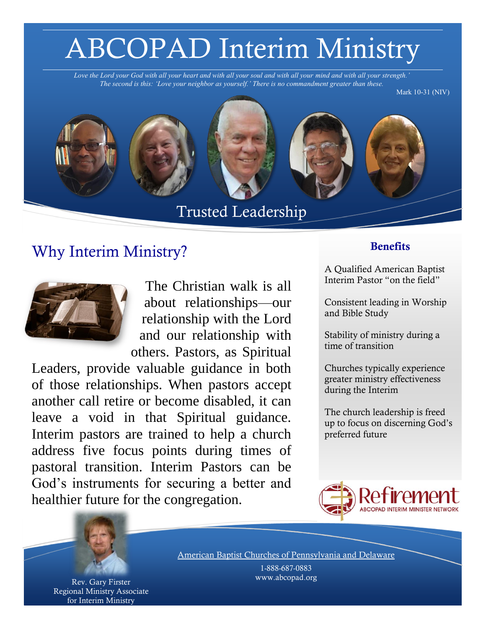# ABCOPAD Interim Ministry

*Love the Lord your God with all your heart and with all your soul and with all your mind and with all your strength.' The second is this: 'Love your neighbor as yourself.' There is no commandment greater than these.*

Mark 10-31 (NIV)



Trusted Leadership

### Why Interim Ministry? Benefits



The Christian walk is all about relationships—our relationship with the Lord and our relationship with others. Pastors, as Spiritual

Leaders, provide valuable guidance in both of those relationships. When pastors accept another call retire or become disabled, it can leave a void in that Spiritual guidance. Interim pastors are trained to help a church address five focus points during times of pastoral transition. Interim Pastors can be God's instruments for securing a better and healthier future for the congregation.

A Qualified American Baptist Interim Pastor "on the field"

Consistent leading in Worship and Bible Study

Stability of ministry during a time of transition

Churches typically experience greater ministry effectiveness during the Interim

The church leadership is freed up to focus on discerning God's preferred future





Rev. Gary Firster Regional Ministry Associate for Interim Ministry